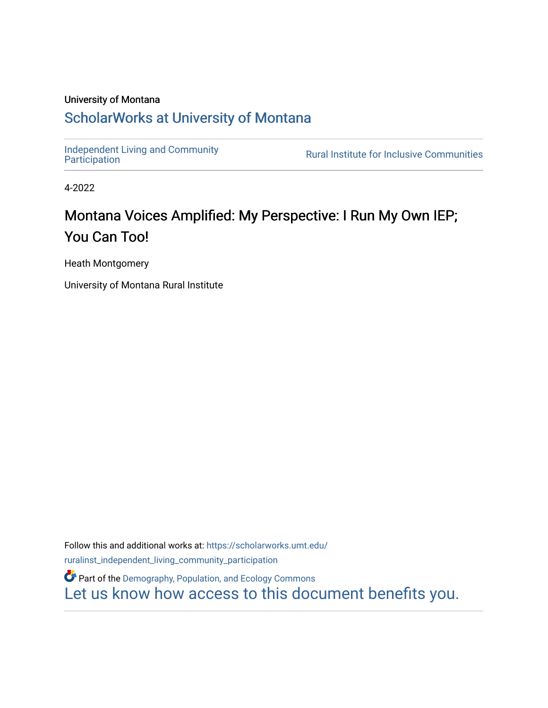#### University of Montana

### [ScholarWorks at University of Montana](https://scholarworks.umt.edu/)

[Independent Living and Community](https://scholarworks.umt.edu/ruralinst_independent_living_community_participation)<br>Participation

**Rural Institute for Inclusive Communities** 

4-2022

### Montana Voices Amplified: My Perspective: I Run My Own IEP; You Can Too!

Heath Montgomery

University of Montana Rural Institute

Follow this and additional works at: [https://scholarworks.umt.edu/](https://scholarworks.umt.edu/ruralinst_independent_living_community_participation?utm_source=scholarworks.umt.edu%2Fruralinst_independent_living_community_participation%2F82&utm_medium=PDF&utm_campaign=PDFCoverPages) [ruralinst\\_independent\\_living\\_community\\_participation](https://scholarworks.umt.edu/ruralinst_independent_living_community_participation?utm_source=scholarworks.umt.edu%2Fruralinst_independent_living_community_participation%2F82&utm_medium=PDF&utm_campaign=PDFCoverPages) 

**Part of the Demography, Population, and Ecology Commons** [Let us know how access to this document benefits you.](https://goo.gl/forms/s2rGfXOLzz71qgsB2)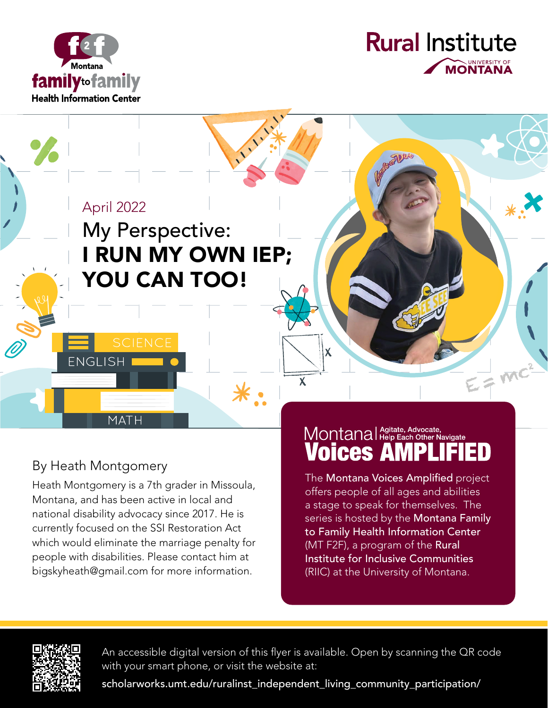



April 2022

# My Perspective: I RUN MY OWN IEP; YOU CAN TOO!

By Heath Montgomery

MATH

**ENGLISH** 

Heath Montgomery is a 7th grader in Missoula, Montana, and has been active in local and national disability advocacy since 2017. He is currently focused on the SSI Restoration Act which would eliminate the marriage penalty for people with disabilities. Please contact him at bigskyheath@gmail.com for more information.

## Montanal Agitate, Advocate, **Voices A**

 $\frac{1}{7}mc^2$ 

The Montana Voices Amplified project offers people of all ages and abilities a stage to speak for themselves. The series is hosted by the **Montana Family** to Family Health Information Center (MT F2F), a program of the Rural Institute for Inclusive Communities (RIIC) at the University of Montana.



An accessible digital version of this flyer is available. Open by scanning the QR code with your smart phone, or visit the website at:

 $\overline{\mathbf{X}}$ 

 $\mathsf{X}$ 

scholarworks.umt.edu/ruralinst\_independent\_living\_community\_participation/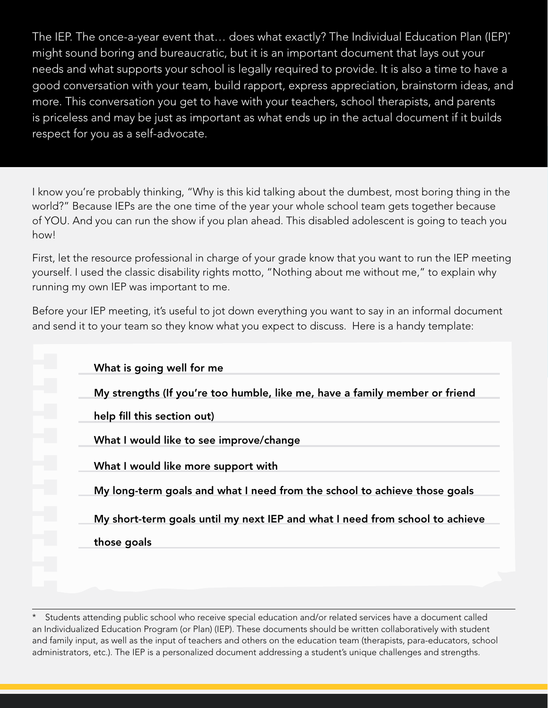The IEP. The once-a-year event that… does what exactly? The Individual Education Plan (IEP)\* might sound boring and bureaucratic, but it is an important document that lays out your needs and what supports your school is legally required to provide. It is also a time to have a good conversation with your team, build rapport, express appreciation, brainstorm ideas, and more. This conversation you get to have with your teachers, school therapists, and parents is priceless and may be just as important as what ends up in the actual document if it builds respect for you as a self-advocate.

I know you're probably thinking, "Why is this kid talking about the dumbest, most boring thing in the world?" Because IEPs are the one time of the year your whole school team gets together because of YOU. And you can run the show if you plan ahead. This disabled adolescent is going to teach you how!

First, let the resource professional in charge of your grade know that you want to run the IEP meeting yourself. I used the classic disability rights motto, "Nothing about me without me," to explain why running my own IEP was important to me.

Before your IEP meeting, it's useful to jot down everything you want to say in an informal document and send it to your team so they know what you expect to discuss. Here is a handy template:

|        | What is going well for me                                                    |
|--------|------------------------------------------------------------------------------|
| e.     | My strengths (If you're too humble, like me, have a family member or friend  |
| Г      | help fill this section out)                                                  |
| e<br>M | What I would like to see improve/change                                      |
| P)     | What I would like more support with                                          |
| i.     | My long-term goals and what I need from the school to achieve those goals    |
|        | My short-term goals until my next IEP and what I need from school to achieve |
|        | those goals                                                                  |

Students attending public school who receive special education and/or related services have a document called an Individualized Education Program (or Plan) (IEP). These documents should be written collaboratively with student and family input, as well as the input of teachers and others on the education team (therapists, para-educators, school administrators, etc.). The IEP is a personalized document addressing a student's unique challenges and strengths.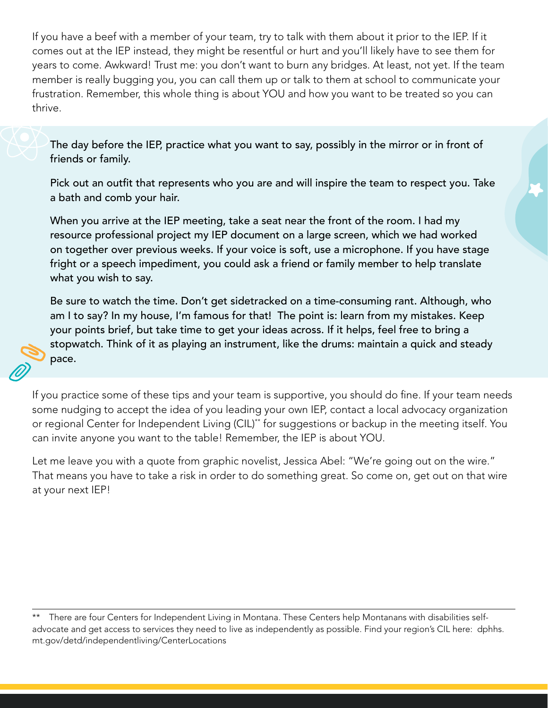If you have a beef with a member of your team, try to talk with them about it prior to the IEP. If it comes out at the IEP instead, they might be resentful or hurt and you'll likely have to see them for years to come. Awkward! Trust me: you don't want to burn any bridges. At least, not yet. If the team member is really bugging you, you can call them up or talk to them at school to communicate your frustration. Remember, this whole thing is about YOU and how you want to be treated so you can thrive.

The day before the IEP, practice what you want to say, possibly in the mirror or in front of friends or family.

Pick out an outfit that represents who you are and will inspire the team to respect you. Take a bath and comb your hair.

When you arrive at the IEP meeting, take a seat near the front of the room. I had my resource professional project my IEP document on a large screen, which we had worked on together over previous weeks. If your voice is soft, use a microphone. If you have stage fright or a speech impediment, you could ask a friend or family member to help translate what you wish to say.

Be sure to watch the time. Don't get sidetracked on a time-consuming rant. Although, who am I to say? In my house, I'm famous for that! The point is: learn from my mistakes. Keep your points brief, but take time to get your ideas across. If it helps, feel free to bring a stopwatch. Think of it as playing an instrument, like the drums: maintain a quick and steady pace.

If you practice some of these tips and your team is supportive, you should do fine. If your team needs some nudging to accept the idea of you leading your own IEP, contact a local advocacy organization or regional Center for Independent Living (CIL)<sup>\*\*</sup> for suggestions or backup in the meeting itself. You can invite anyone you want to the table! Remember, the IEP is about YOU.

Let me leave you with a quote from graphic novelist, Jessica Abel: "We're going out on the wire." That means you have to take a risk in order to do something great. So come on, get out on that wire at your next IEP!

There are four Centers for Independent Living in Montana. These Centers help Montanans with disabilities selfadvocate and get access to services they need to live as independently as possible. Find your region's CIL here: dphhs. mt.gov/detd/independentliving/CenterLocations